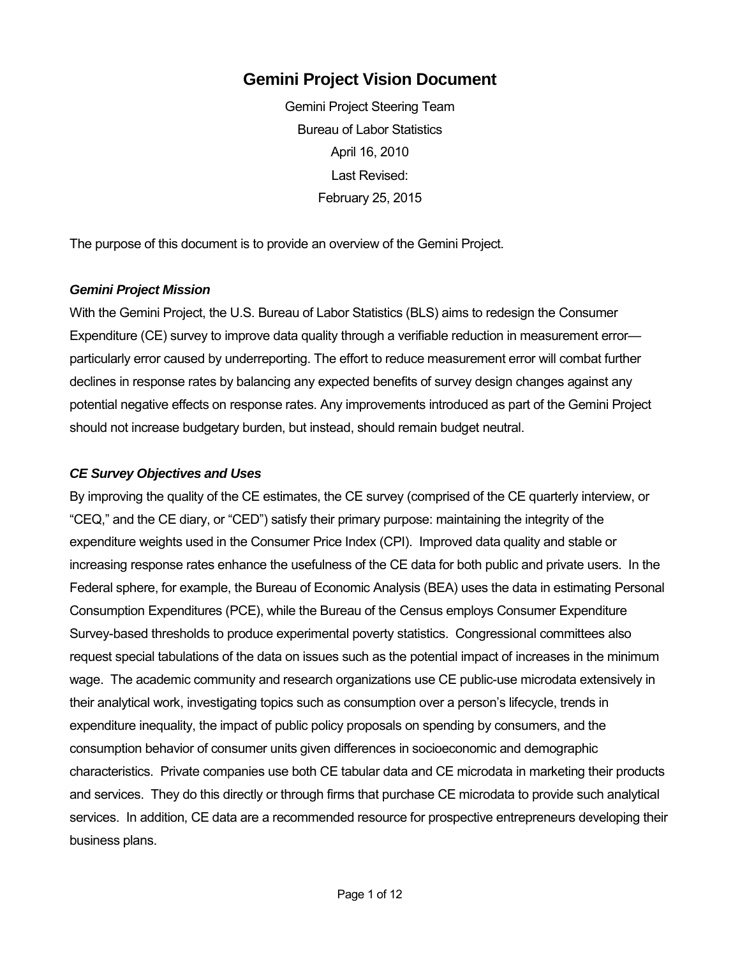# **Gemini Project Vision Document**

Gemini Project Steering Team Bureau of Labor Statistics April 16, 2010 Last Revised: February 25, 2015

The purpose of this document is to provide an overview of the Gemini Project.

#### *Gemini Project Mission*

With the Gemini Project, the U.S. Bureau of Labor Statistics (BLS) aims to redesign the Consumer Expenditure (CE) survey to improve data quality through a verifiable reduction in measurement error particularly error caused by underreporting. The effort to reduce measurement error will combat further declines in response rates by balancing any expected benefits of survey design changes against any potential negative effects on response rates. Any improvements introduced as part of the Gemini Project should not increase budgetary burden, but instead, should remain budget neutral.

### *CE Survey Objectives and Uses*

By improving the quality of the CE estimates, the CE survey (comprised of the CE quarterly interview, or "CEQ," and the CE diary, or "CED") satisfy their primary purpose: maintaining the integrity of the expenditure weights used in the Consumer Price Index (CPI). Improved data quality and stable or increasing response rates enhance the usefulness of the CE data for both public and private users. In the Federal sphere, for example, the Bureau of Economic Analysis (BEA) uses the data in estimating Personal Consumption Expenditures (PCE), while the Bureau of the Census employs Consumer Expenditure Survey-based thresholds to produce experimental poverty statistics. Congressional committees also request special tabulations of the data on issues such as the potential impact of increases in the minimum wage. The academic community and research organizations use CE public-use microdata extensively in their analytical work, investigating topics such as consumption over a person's lifecycle, trends in expenditure inequality, the impact of public policy proposals on spending by consumers, and the consumption behavior of consumer units given differences in socioeconomic and demographic characteristics. Private companies use both CE tabular data and CE microdata in marketing their products and services. They do this directly or through firms that purchase CE microdata to provide such analytical services. In addition, CE data are a recommended resource for prospective entrepreneurs developing their business plans.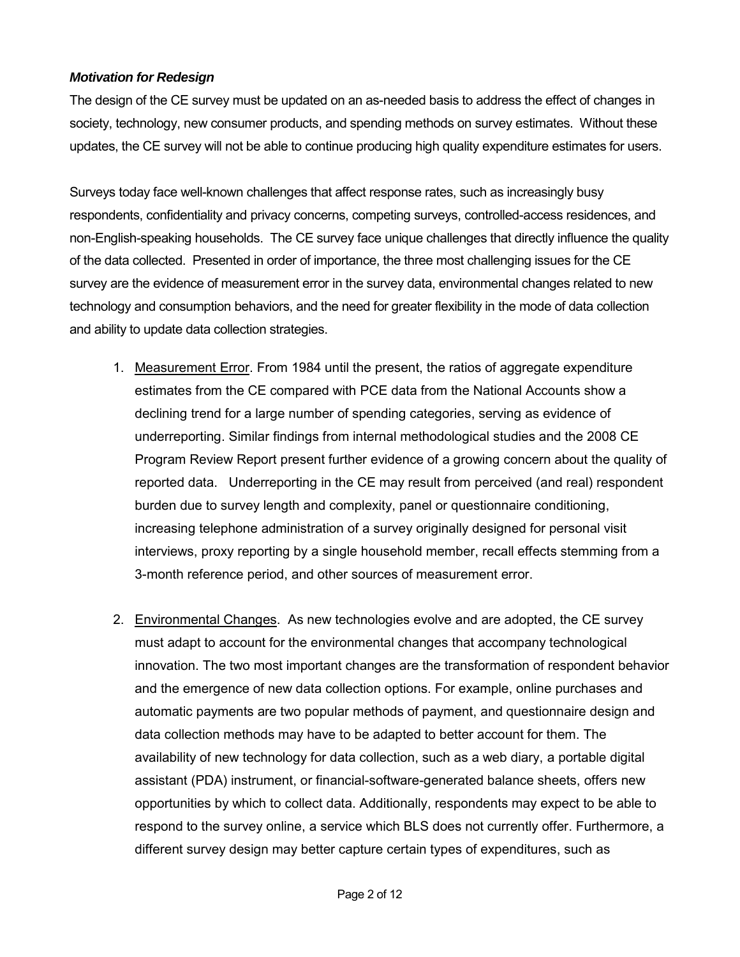### *Motivation for Redesign*

The design of the CE survey must be updated on an as-needed basis to address the effect of changes in society, technology, new consumer products, and spending methods on survey estimates. Without these updates, the CE survey will not be able to continue producing high quality expenditure estimates for users.

Surveys today face well-known challenges that affect response rates, such as increasingly busy respondents, confidentiality and privacy concerns, competing surveys, controlled-access residences, and non-English-speaking households. The CE survey face unique challenges that directly influence the quality of the data collected. Presented in order of importance, the three most challenging issues for the CE survey are the evidence of measurement error in the survey data, environmental changes related to new technology and consumption behaviors, and the need for greater flexibility in the mode of data collection and ability to update data collection strategies.

- 1. Measurement Error. From 1984 until the present, the ratios of aggregate expenditure estimates from the CE compared with PCE data from the National Accounts show a declining trend for a large number of spending categories, serving as evidence of underreporting. Similar findings from internal methodological studies and the 2008 CE Program Review Report present further evidence of a growing concern about the quality of reported data. Underreporting in the CE may result from perceived (and real) respondent burden due to survey length and complexity, panel or questionnaire conditioning, increasing telephone administration of a survey originally designed for personal visit interviews, proxy reporting by a single household member, recall effects stemming from a 3-month reference period, and other sources of measurement error.
- 2. Environmental Changes.As new technologies evolve and are adopted, the CE survey must adapt to account for the environmental changes that accompany technological innovation. The two most important changes are the transformation of respondent behavior and the emergence of new data collection options. For example, online purchases and automatic payments are two popular methods of payment, and questionnaire design and data collection methods may have to be adapted to better account for them. The availability of new technology for data collection, such as a web diary, a portable digital assistant (PDA) instrument, or financial-software-generated balance sheets, offers new opportunities by which to collect data. Additionally, respondents may expect to be able to respond to the survey online, a service which BLS does not currently offer. Furthermore, a different survey design may better capture certain types of expenditures, such as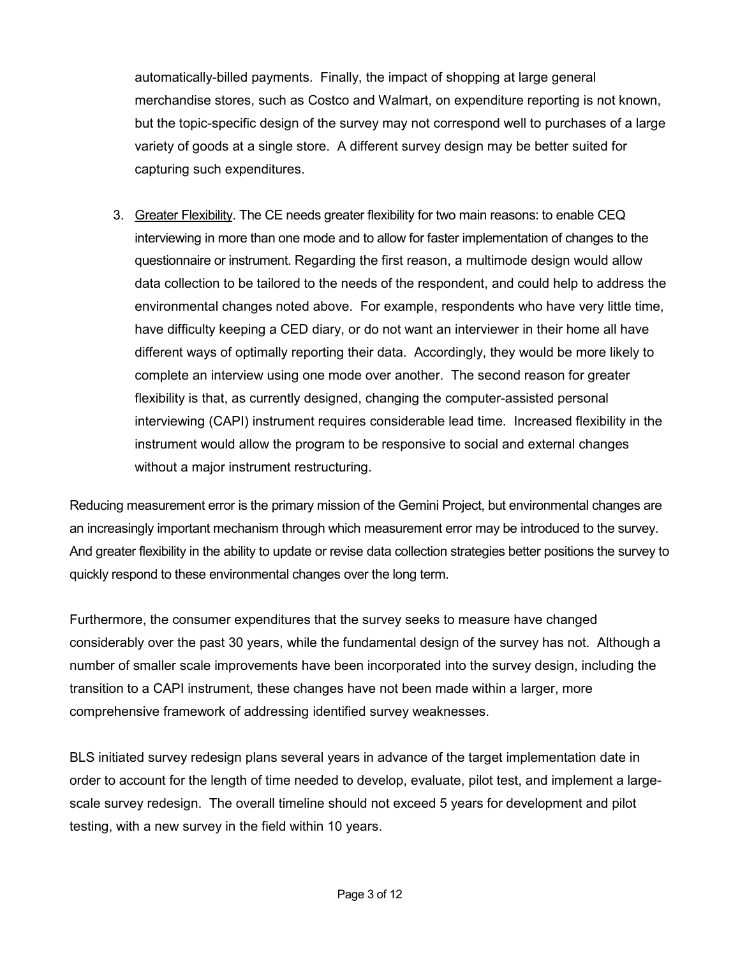automatically-billed payments. Finally, the impact of shopping at large general merchandise stores, such as Costco and Walmart, on expenditure reporting is not known, but the topic-specific design of the survey may not correspond well to purchases of a large variety of goods at a single store. A different survey design may be better suited for capturing such expenditures.

3. Greater Flexibility. The CE needs greater flexibility for two main reasons: to enable CEQ interviewing in more than one mode and to allow for faster implementation of changes to the questionnaire or instrument. Regarding the first reason, a multimode design would allow data collection to be tailored to the needs of the respondent, and could help to address the environmental changes noted above. For example, respondents who have very little time, have difficulty keeping a CED diary, or do not want an interviewer in their home all have different ways of optimally reporting their data. Accordingly, they would be more likely to complete an interview using one mode over another. The second reason for greater flexibility is that, as currently designed, changing the computer-assisted personal interviewing (CAPI) instrument requires considerable lead time. Increased flexibility in the instrument would allow the program to be responsive to social and external changes without a major instrument restructuring.

Reducing measurement error is the primary mission of the Gemini Project, but environmental changes are an increasingly important mechanism through which measurement error may be introduced to the survey. And greater flexibility in the ability to update or revise data collection strategies better positions the survey to quickly respond to these environmental changes over the long term.

Furthermore, the consumer expenditures that the survey seeks to measure have changed considerably over the past 30 years, while the fundamental design of the survey has not. Although a number of smaller scale improvements have been incorporated into the survey design, including the transition to a CAPI instrument, these changes have not been made within a larger, more comprehensive framework of addressing identified survey weaknesses.

BLS initiated survey redesign plans several years in advance of the target implementation date in order to account for the length of time needed to develop, evaluate, pilot test, and implement a largescale survey redesign. The overall timeline should not exceed 5 years for development and pilot testing, with a new survey in the field within 10 years.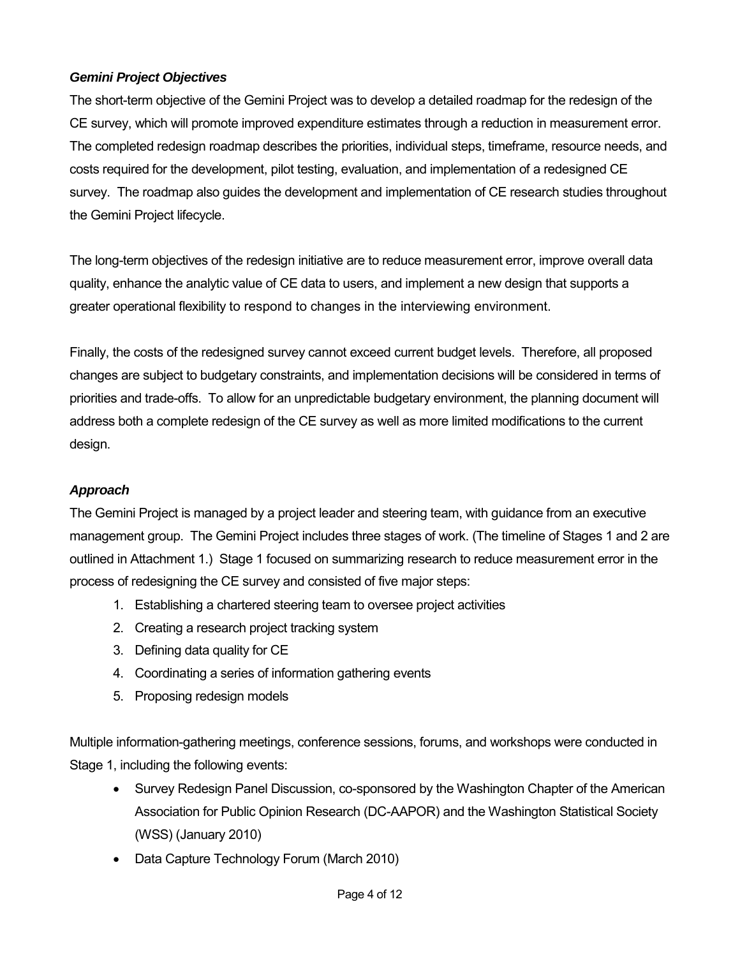## *Gemini Project Objectives*

The short-term objective of the Gemini Project was to develop a detailed roadmap for the redesign of the CE survey, which will promote improved expenditure estimates through a reduction in measurement error. The completed redesign roadmap describes the priorities, individual steps, timeframe, resource needs, and costs required for the development, pilot testing, evaluation, and implementation of a redesigned CE survey. The roadmap also guides the development and implementation of CE research studies throughout the Gemini Project lifecycle.

The long-term objectives of the redesign initiative are to reduce measurement error, improve overall data quality, enhance the analytic value of CE data to users, and implement a new design that supports a greater operational flexibility to respond to changes in the interviewing environment.

Finally, the costs of the redesigned survey cannot exceed current budget levels. Therefore, all proposed changes are subject to budgetary constraints, and implementation decisions will be considered in terms of priorities and trade-offs. To allow for an unpredictable budgetary environment, the planning document will address both a complete redesign of the CE survey as well as more limited modifications to the current design.

# *Approach*

The Gemini Project is managed by a project leader and steering team, with guidance from an executive management group. The Gemini Project includes three stages of work. (The timeline of Stages 1 and 2 are outlined in Attachment 1.) Stage 1 focused on summarizing research to reduce measurement error in the process of redesigning the CE survey and consisted of five major steps:

- 1. Establishing a chartered steering team to oversee project activities
- 2. Creating a research project tracking system
- 3. Defining data quality for CE
- 4. Coordinating a series of information gathering events
- 5. Proposing redesign models

Multiple information-gathering meetings, conference sessions, forums, and workshops were conducted in Stage 1, including the following events:

- Survey Redesign Panel Discussion, co-sponsored by the Washington Chapter of the American Association for Public Opinion Research (DC-AAPOR) and the Washington Statistical Society (WSS) (January 2010)
- Data Capture Technology Forum (March 2010)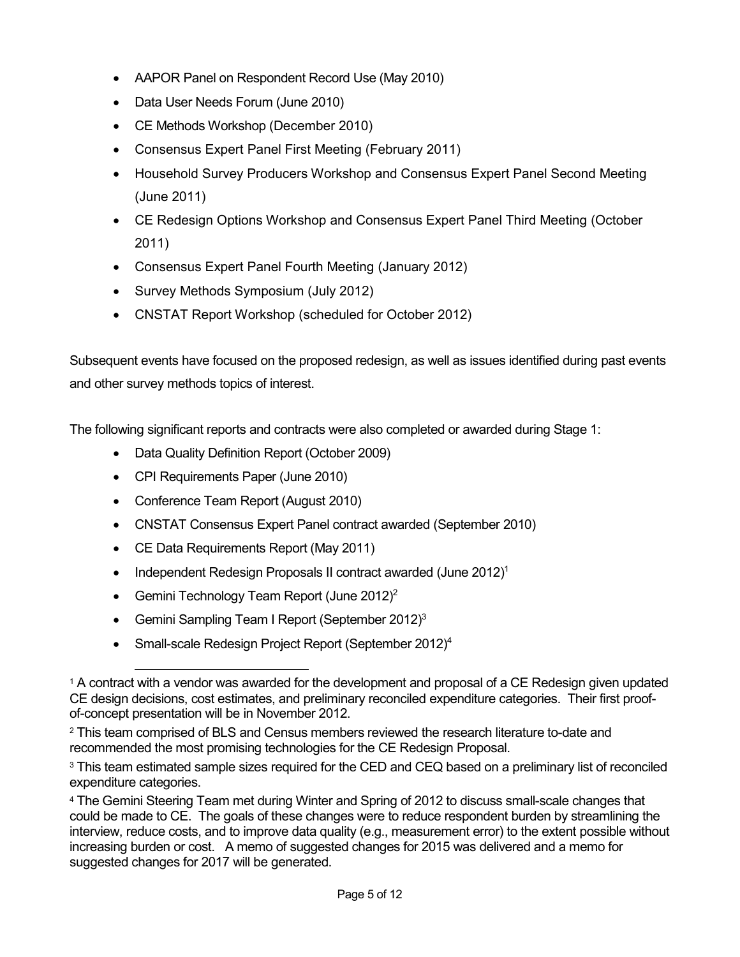- AAPOR Panel on Respondent Record Use (May 2010)
- Data User Needs Forum (June 2010)
- CE Methods Workshop (December 2010)
- Consensus Expert Panel First Meeting (February 2011)
- Household Survey Producers Workshop and Consensus Expert Panel Second Meeting (June 2011)
- CE Redesign Options Workshop and Consensus Expert Panel Third Meeting (October 2011)
- Consensus Expert Panel Fourth Meeting (January 2012)
- Survey Methods Symposium (July 2012)
- CNSTAT Report Workshop (scheduled for October 2012)

Subsequent events have focused on the proposed redesign, as well as issues identified during past events and other survey methods topics of interest.

The following significant reports and contracts were also completed or awarded during Stage 1:

- Data Quality Definition Report (October 2009)
- CPI Requirements Paper (June 2010)
- Conference Team Report (August 2010)
- CNSTAT Consensus Expert Panel contract awarded (September 2010)
- CE Data Requirements Report (May 2011)
- $\bullet$  Independent Redesign Proposals II contract awarded (June 2012)<sup>1</sup>
- Gemini Technology Team Report (June 2012)<sup>2</sup>
- Gemini Sampling Team I Report (September 2012)<sup>3</sup>
- Small-scale Redesign Project Report (September 2012)<sup>4</sup>

 <sup>1</sup> A contract with a vendor was awarded for the development and proposal of a CE Redesign given updated CE design decisions, cost estimates, and preliminary reconciled expenditure categories. Their first proofof-concept presentation will be in November 2012.

<sup>2</sup> This team comprised of BLS and Census members reviewed the research literature to-date and recommended the most promising technologies for the CE Redesign Proposal.

<sup>&</sup>lt;sup>3</sup> This team estimated sample sizes required for the CED and CEQ based on a preliminary list of reconciled expenditure categories.

<sup>4</sup> The Gemini Steering Team met during Winter and Spring of 2012 to discuss small-scale changes that could be made to CE. The goals of these changes were to reduce respondent burden by streamlining the interview, reduce costs, and to improve data quality (e.g., measurement error) to the extent possible without increasing burden or cost. A memo of suggested changes for 2015 was delivered and a memo for suggested changes for 2017 will be generated.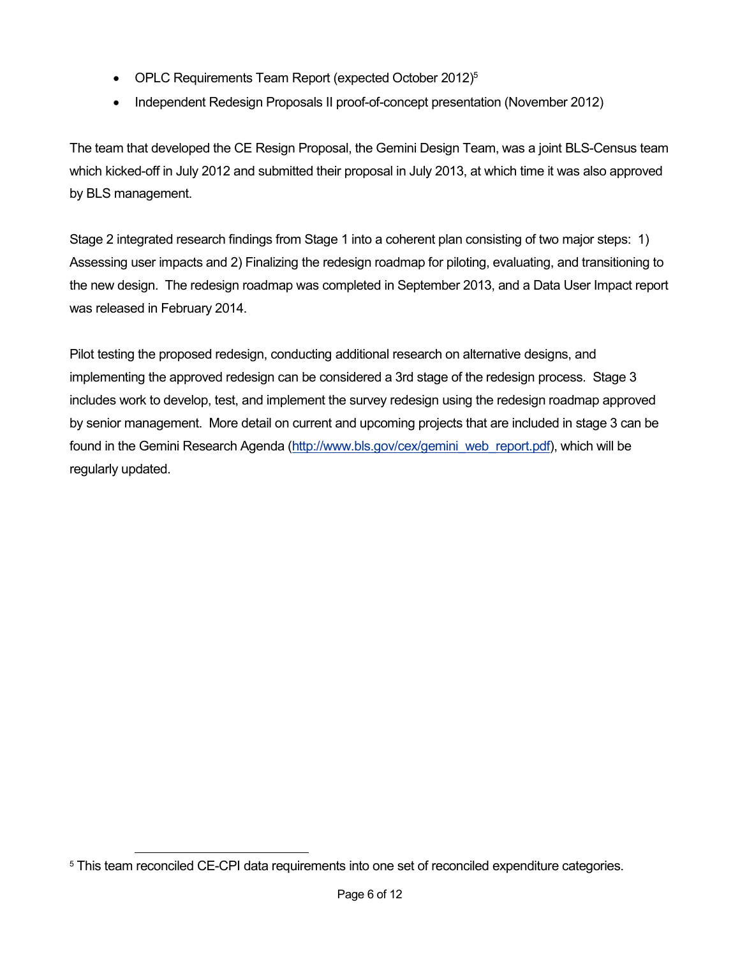- OPLC Requirements Team Report (expected October 2012)<sup>5</sup>
- Independent Redesign Proposals II proof-of-concept presentation (November 2012)

The team that developed the CE Resign Proposal, the Gemini Design Team, was a joint BLS-Census team which kicked-off in July 2012 and submitted their proposal in July 2013, at which time it was also approved by BLS management.

Stage 2 integrated research findings from Stage 1 into a coherent plan consisting of two major steps: 1) Assessing user impacts and 2) Finalizing the redesign roadmap for piloting, evaluating, and transitioning to the new design. The redesign roadmap was completed in September 2013, and a Data User Impact report was released in February 2014.

Pilot testing the proposed redesign, conducting additional research on alternative designs, and implementing the approved redesign can be considered a 3rd stage of the redesign process. Stage 3 includes work to develop, test, and implement the survey redesign using the redesign roadmap approved by senior management. More detail on current and upcoming projects that are included in stage 3 can be found in the Gemini Research Agenda [\(http://www.bls.gov/cex/gemini\\_web\\_report.pdf\)](http://www.bls.gov/cex/gemini_web_report.pdf), which will be regularly updated.

<sup>-</sup><sup>5</sup> This team reconciled CE-CPI data requirements into one set of reconciled expenditure categories.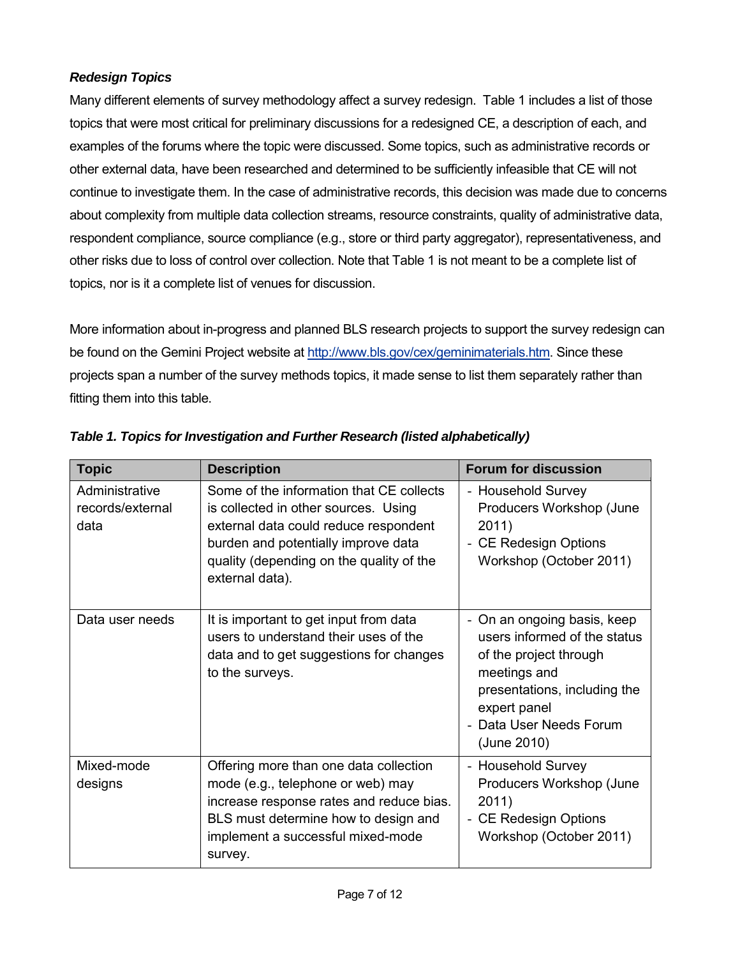## *Redesign Topics*

Many different elements of survey methodology affect a survey redesign. Table 1 includes a list of those topics that were most critical for preliminary discussions for a redesigned CE, a description of each, and examples of the forums where the topic were discussed. Some topics, such as administrative records or other external data, have been researched and determined to be sufficiently infeasible that CE will not continue to investigate them. In the case of administrative records, this decision was made due to concerns about complexity from multiple data collection streams, resource constraints, quality of administrative data, respondent compliance, source compliance (e.g., store or third party aggregator), representativeness, and other risks due to loss of control over collection. Note that Table 1 is not meant to be a complete list of topics, nor is it a complete list of venues for discussion.

More information about in-progress and planned BLS research projects to support the survey redesign can be found on the Gemini Project website at [http://www.bls.gov/cex/geminimaterials.htm.](http://www.bls.gov/cex/geminimaterials.htm) Since these projects span a number of the survey methods topics, it made sense to list them separately rather than fitting them into this table.

| <b>Topic</b>                               | <b>Description</b>                                                                                                                                                                                                              | <b>Forum for discussion</b>                                                                                                                                                                     |
|--------------------------------------------|---------------------------------------------------------------------------------------------------------------------------------------------------------------------------------------------------------------------------------|-------------------------------------------------------------------------------------------------------------------------------------------------------------------------------------------------|
| Administrative<br>records/external<br>data | Some of the information that CE collects<br>is collected in other sources. Using<br>external data could reduce respondent<br>burden and potentially improve data<br>quality (depending on the quality of the<br>external data). | - Household Survey<br>Producers Workshop (June<br>2011)<br>- CE Redesign Options<br>Workshop (October 2011)                                                                                     |
| Data user needs                            | It is important to get input from data<br>users to understand their uses of the<br>data and to get suggestions for changes<br>to the surveys.                                                                                   | - On an ongoing basis, keep<br>users informed of the status<br>of the project through<br>meetings and<br>presentations, including the<br>expert panel<br>- Data User Needs Forum<br>(June 2010) |
| Mixed-mode<br>designs                      | Offering more than one data collection<br>mode (e.g., telephone or web) may<br>increase response rates and reduce bias.<br>BLS must determine how to design and<br>implement a successful mixed-mode<br>survey.                 | - Household Survey<br>Producers Workshop (June<br>2011)<br>- CE Redesign Options<br>Workshop (October 2011)                                                                                     |

*Table 1. Topics for Investigation and Further Research (listed alphabetically)*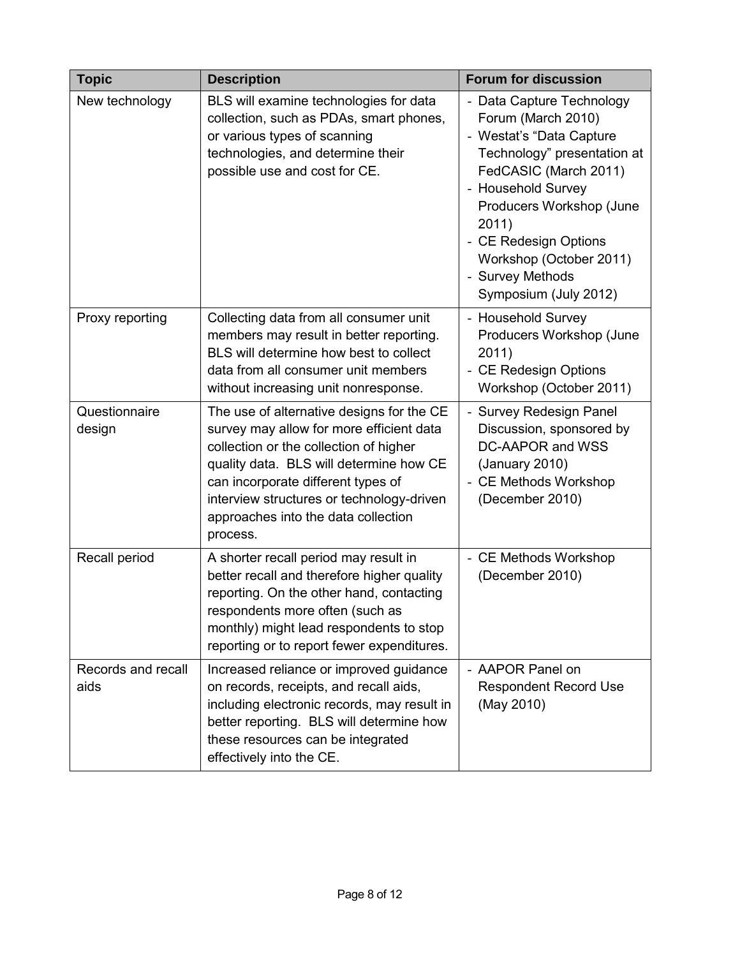| <b>Topic</b>               | <b>Description</b>                                                                                                                                                                                                                                                                                               | <b>Forum for discussion</b>                                                                                                                                                                                                                                                                     |  |
|----------------------------|------------------------------------------------------------------------------------------------------------------------------------------------------------------------------------------------------------------------------------------------------------------------------------------------------------------|-------------------------------------------------------------------------------------------------------------------------------------------------------------------------------------------------------------------------------------------------------------------------------------------------|--|
| New technology             | BLS will examine technologies for data<br>collection, such as PDAs, smart phones,<br>or various types of scanning<br>technologies, and determine their<br>possible use and cost for CE.                                                                                                                          | - Data Capture Technology<br>Forum (March 2010)<br>- Westat's "Data Capture<br>Technology" presentation at<br>FedCASIC (March 2011)<br>- Household Survey<br>Producers Workshop (June<br>2011)<br>- CE Redesign Options<br>Workshop (October 2011)<br>- Survey Methods<br>Symposium (July 2012) |  |
| Proxy reporting            | Collecting data from all consumer unit<br>members may result in better reporting.<br>BLS will determine how best to collect<br>data from all consumer unit members<br>without increasing unit nonresponse.                                                                                                       | - Household Survey<br>Producers Workshop (June<br>2011)<br>- CE Redesign Options<br>Workshop (October 2011)                                                                                                                                                                                     |  |
| Questionnaire<br>design    | The use of alternative designs for the CE<br>survey may allow for more efficient data<br>collection or the collection of higher<br>quality data. BLS will determine how CE<br>can incorporate different types of<br>interview structures or technology-driven<br>approaches into the data collection<br>process. | - Survey Redesign Panel<br>Discussion, sponsored by<br>DC-AAPOR and WSS<br>(January 2010)<br>- CE Methods Workshop<br>(December 2010)                                                                                                                                                           |  |
| Recall period              | A shorter recall period may result in<br>better recall and therefore higher quality<br>reporting. On the other hand, contacting<br>respondents more often (such as<br>monthly) might lead respondents to stop<br>reporting or to report fewer expenditures.                                                      | - CE Methods Workshop<br>(December 2010)                                                                                                                                                                                                                                                        |  |
| Records and recall<br>aids | Increased reliance or improved guidance<br>on records, receipts, and recall aids,<br>including electronic records, may result in<br>better reporting. BLS will determine how<br>these resources can be integrated<br>effectively into the CE.                                                                    | - AAPOR Panel on<br><b>Respondent Record Use</b><br>(May 2010)                                                                                                                                                                                                                                  |  |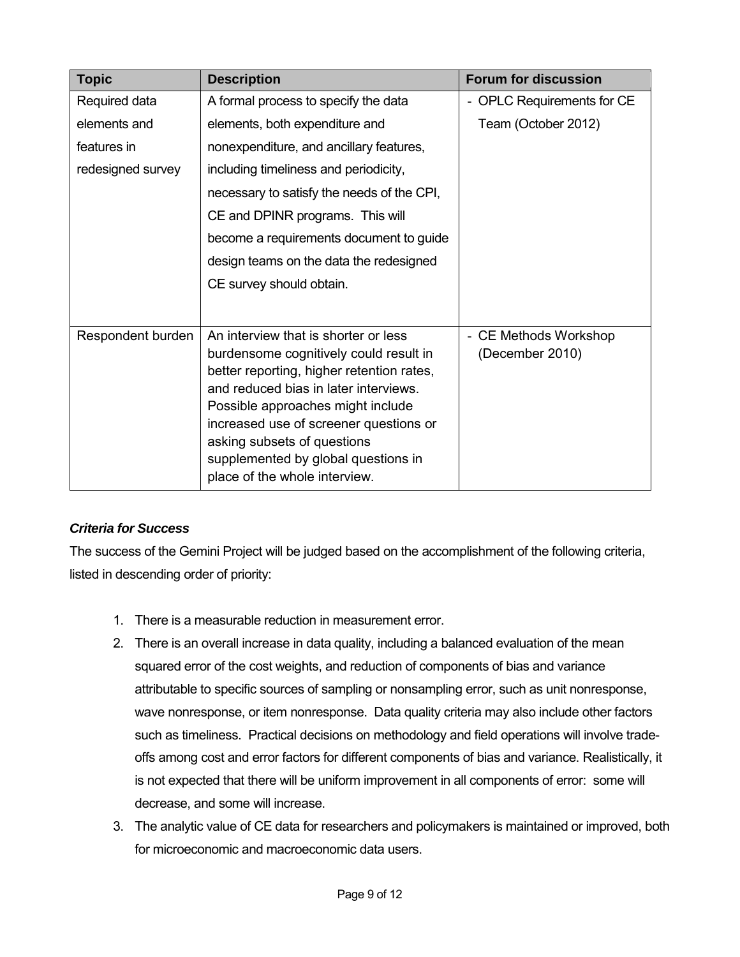| <b>Topic</b>                                                                      | <b>Description</b>                                                                                                                                                                                                                                                                                                        | <b>Forum for discussion</b>                   |
|-----------------------------------------------------------------------------------|---------------------------------------------------------------------------------------------------------------------------------------------------------------------------------------------------------------------------------------------------------------------------------------------------------------------------|-----------------------------------------------|
| A formal process to specify the data<br>Required data<br>$\overline{\phantom{0}}$ |                                                                                                                                                                                                                                                                                                                           | <b>OPLC Requirements for CE</b>               |
| elements and                                                                      | elements, both expenditure and                                                                                                                                                                                                                                                                                            | Team (October 2012)                           |
| features in                                                                       | nonexpenditure, and ancillary features,                                                                                                                                                                                                                                                                                   |                                               |
| redesigned survey                                                                 | including timeliness and periodicity,                                                                                                                                                                                                                                                                                     |                                               |
|                                                                                   | necessary to satisfy the needs of the CPI,                                                                                                                                                                                                                                                                                |                                               |
|                                                                                   | CE and DPINR programs. This will                                                                                                                                                                                                                                                                                          |                                               |
|                                                                                   | become a requirements document to guide                                                                                                                                                                                                                                                                                   |                                               |
|                                                                                   | design teams on the data the redesigned                                                                                                                                                                                                                                                                                   |                                               |
|                                                                                   | CE survey should obtain.                                                                                                                                                                                                                                                                                                  |                                               |
|                                                                                   |                                                                                                                                                                                                                                                                                                                           |                                               |
| Respondent burden                                                                 | An interview that is shorter or less<br>burdensome cognitively could result in<br>better reporting, higher retention rates,<br>and reduced bias in later interviews.<br>Possible approaches might include<br>increased use of screener questions or<br>asking subsets of questions<br>supplemented by global questions in | <b>CE Methods Workshop</b><br>(December 2010) |
|                                                                                   | place of the whole interview.                                                                                                                                                                                                                                                                                             |                                               |

# *Criteria for Success*

The success of the Gemini Project will be judged based on the accomplishment of the following criteria, listed in descending order of priority:

- 1. There is a measurable reduction in measurement error.
- 2. There is an overall increase in data quality, including a balanced evaluation of the mean squared error of the cost weights, and reduction of components of bias and variance attributable to specific sources of sampling or nonsampling error, such as unit nonresponse, wave nonresponse, or item nonresponse. Data quality criteria may also include other factors such as timeliness. Practical decisions on methodology and field operations will involve tradeoffs among cost and error factors for different components of bias and variance. Realistically, it is not expected that there will be uniform improvement in all components of error: some will decrease, and some will increase.
- 3. The analytic value of CE data for researchers and policymakers is maintained or improved, both for microeconomic and macroeconomic data users.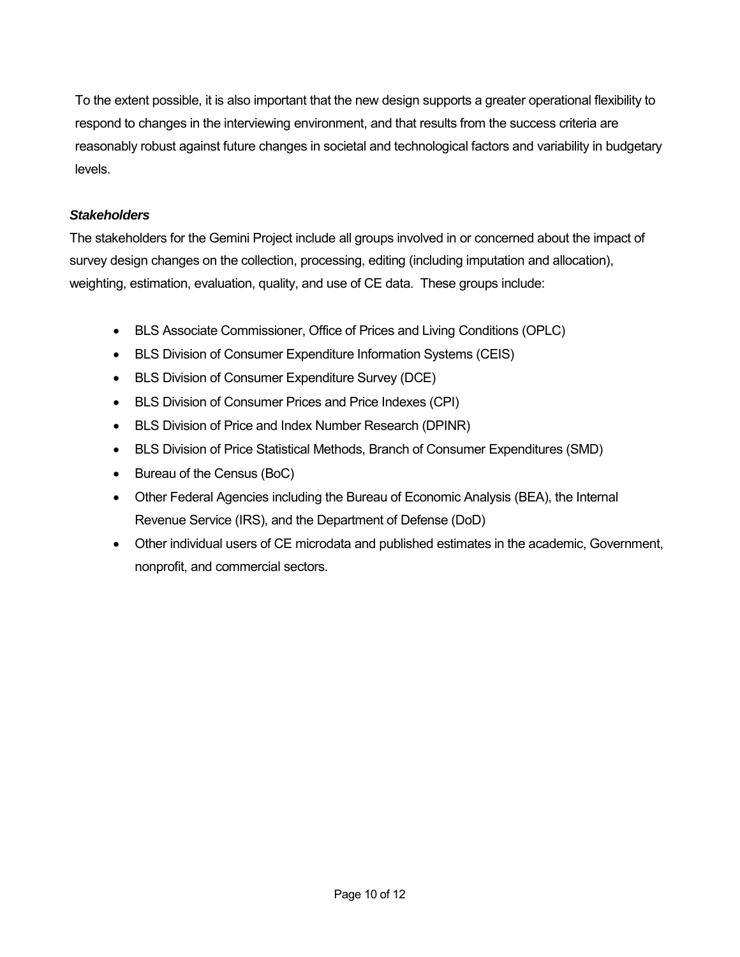To the extent possible, it is also important that the new design supports a greater operational flexibility to respond to changes in the interviewing environment, and that results from the success criteria are reasonably robust against future changes in societal and technological factors and variability in budgetary levels.

### *Stakeholders*

The stakeholders for the Gemini Project include all groups involved in or concerned about the impact of survey design changes on the collection, processing, editing (including imputation and allocation), weighting, estimation, evaluation, quality, and use of CE data. These groups include:

- BLS Associate Commissioner, Office of Prices and Living Conditions (OPLC)
- BLS Division of Consumer Expenditure Information Systems (CEIS)
- BLS Division of Consumer Expenditure Survey (DCE)
- BLS Division of Consumer Prices and Price Indexes (CPI)
- BLS Division of Price and Index Number Research (DPINR)
- BLS Division of Price Statistical Methods, Branch of Consumer Expenditures (SMD)
- Bureau of the Census (BoC)
- Other Federal Agencies including the Bureau of Economic Analysis (BEA), the Internal Revenue Service (IRS), and the Department of Defense (DoD)
- Other individual users of CE microdata and published estimates in the academic, Government, nonprofit, and commercial sectors.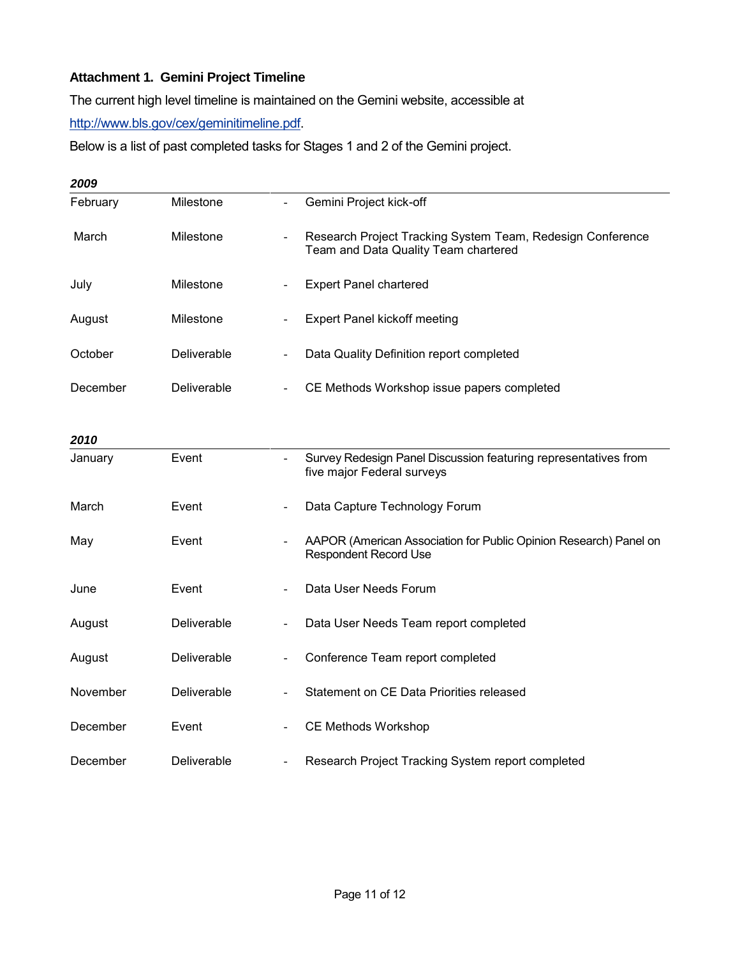### **Attachment 1. Gemini Project Timeline**

The current high level timeline is maintained on the Gemini website, accessible at

[http://www.bls.gov/cex/geminitimeline.pdf.](http://www.bls.gov/cex/geminitimeline.pdf)

Below is a list of past completed tasks for Stages 1 and 2 of the Gemini project.

| 2009     |             |                                                                                                                |
|----------|-------------|----------------------------------------------------------------------------------------------------------------|
| February | Milestone   | Gemini Project kick-off                                                                                        |
| March    | Milestone   | Research Project Tracking System Team, Redesign Conference<br>÷,<br>Team and Data Quality Team chartered       |
| July     | Milestone   | <b>Expert Panel chartered</b>                                                                                  |
| August   | Milestone   | <b>Expert Panel kickoff meeting</b>                                                                            |
| October  | Deliverable | Data Quality Definition report completed                                                                       |
| December | Deliverable | CE Methods Workshop issue papers completed                                                                     |
| 2010     |             |                                                                                                                |
| January  | Event       | Survey Redesign Panel Discussion featuring representatives from<br>$\frac{1}{2}$<br>five major Federal surveys |
| March    | Event       | Data Capture Technology Forum                                                                                  |
| May      | Event       | AAPOR (American Association for Public Opinion Research) Panel on<br><b>Respondent Record Use</b>              |
| June     | Event       | Data User Needs Forum                                                                                          |
| August   | Deliverable | Data User Needs Team report completed                                                                          |
| August   | Deliverable | Conference Team report completed<br>$\overline{\phantom{0}}$                                                   |
| November | Deliverable | Statement on CE Data Priorities released                                                                       |
| December | Event       | <b>CE Methods Workshop</b>                                                                                     |
| December | Deliverable | Research Project Tracking System report completed<br>$\overline{\phantom{a}}$                                  |